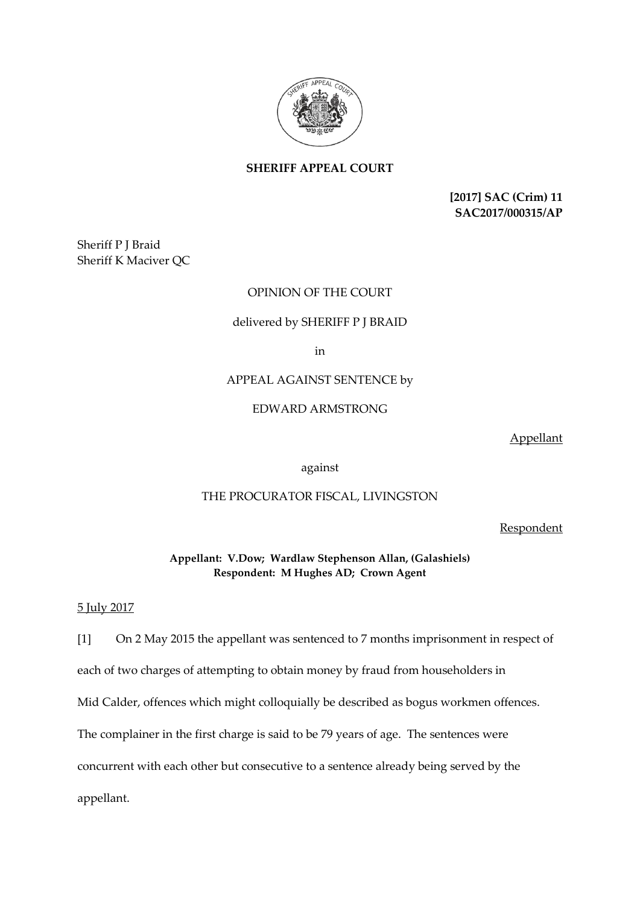

**SHERIFF APPEAL COURT**

**[2017] SAC (Crim) 11 SAC2017/000315/AP**

Sheriff P J Braid Sheriff K Maciver QC

## OPINION OF THE COURT

## delivered by SHERIFF P J BRAID

in

APPEAL AGAINST SENTENCE by

EDWARD ARMSTRONG

Appellant

against

## THE PROCURATOR FISCAL, LIVINGSTON

**Respondent** 

**Appellant: V.Dow; Wardlaw Stephenson Allan, (Galashiels) Respondent: M Hughes AD; Crown Agent**

## 5 July 2017

[1] On 2 May 2015 the appellant was sentenced to 7 months imprisonment in respect of each of two charges of attempting to obtain money by fraud from householders in Mid Calder, offences which might colloquially be described as bogus workmen offences. The complainer in the first charge is said to be 79 years of age. The sentences were concurrent with each other but consecutive to a sentence already being served by the appellant.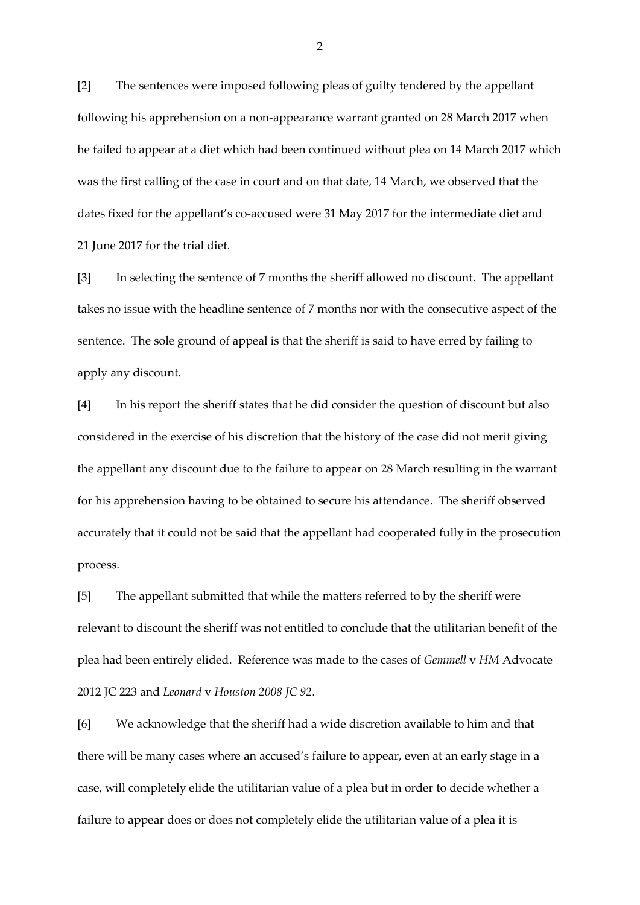[2] The sentences were imposed following pleas of guilty tendered by the appellant following his apprehension on a non-appearance warrant granted on 28 March 2017 when he failed to appear at a diet which had been continued without plea on 14 March 2017 which was the first calling of the case in court and on that date, 14 March, we observed that the dates fixed for the appellant's co-accused were 31 May 2017 for the intermediate diet and 21 June 2017 for the trial diet.

[3] In selecting the sentence of 7 months the sheriff allowed no discount. The appellant takes no issue with the headline sentence of 7 months nor with the consecutive aspect of the sentence. The sole ground of appeal is that the sheriff is said to have erred by failing to apply any discount.

[4] In his report the sheriff states that he did consider the question of discount but also considered in the exercise of his discretion that the history of the case did not merit giving the appellant any discount due to the failure to appear on 28 March resulting in the warrant for his apprehension having to be obtained to secure his attendance. The sheriff observed accurately that it could not be said that the appellant had cooperated fully in the prosecution process.

[5] The appellant submitted that while the matters referred to by the sheriff were relevant to discount the sheriff was not entitled to conclude that the utilitarian benefit of the plea had been entirely elided. Reference was made to the cases of *Gemmell* v *HM* Advocate 2012 JC 223 and *Leonard* v *Houston 2008 JC 92*.

[6] We acknowledge that the sheriff had a wide discretion available to him and that there will be many cases where an accused's failure to appear, even at an early stage in a case, will completely elide the utilitarian value of a plea but in order to decide whether a failure to appear does or does not completely elide the utilitarian value of a plea it is

2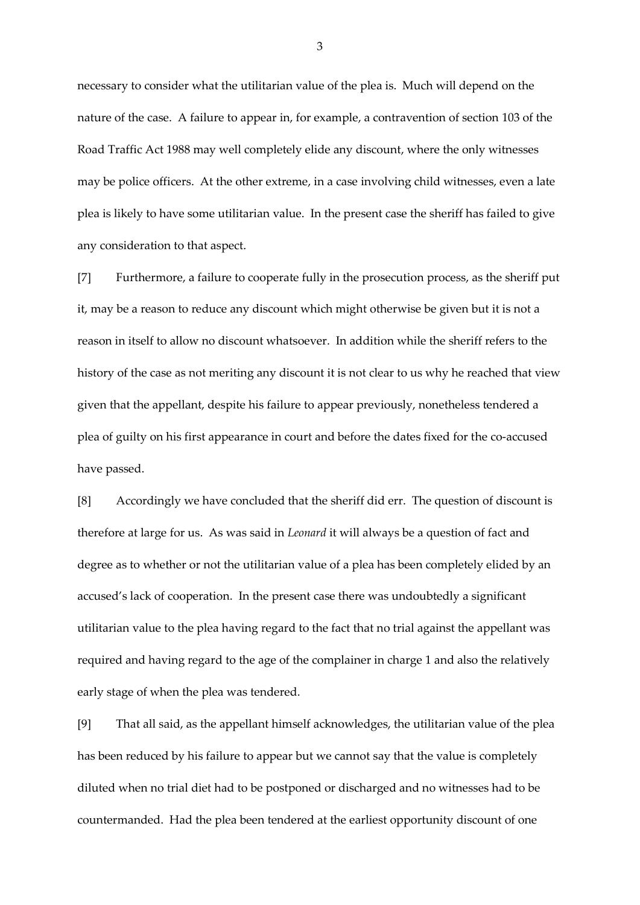necessary to consider what the utilitarian value of the plea is. Much will depend on the nature of the case. A failure to appear in, for example, a contravention of section 103 of the Road Traffic Act 1988 may well completely elide any discount, where the only witnesses may be police officers. At the other extreme, in a case involving child witnesses, even a late plea is likely to have some utilitarian value. In the present case the sheriff has failed to give any consideration to that aspect.

[7] Furthermore, a failure to cooperate fully in the prosecution process, as the sheriff put it, may be a reason to reduce any discount which might otherwise be given but it is not a reason in itself to allow no discount whatsoever. In addition while the sheriff refers to the history of the case as not meriting any discount it is not clear to us why he reached that view given that the appellant, despite his failure to appear previously, nonetheless tendered a plea of guilty on his first appearance in court and before the dates fixed for the co-accused have passed.

[8] Accordingly we have concluded that the sheriff did err. The question of discount is therefore at large for us. As was said in *Leonard* it will always be a question of fact and degree as to whether or not the utilitarian value of a plea has been completely elided by an accused's lack of cooperation. In the present case there was undoubtedly a significant utilitarian value to the plea having regard to the fact that no trial against the appellant was required and having regard to the age of the complainer in charge 1 and also the relatively early stage of when the plea was tendered.

[9] That all said, as the appellant himself acknowledges, the utilitarian value of the plea has been reduced by his failure to appear but we cannot say that the value is completely diluted when no trial diet had to be postponed or discharged and no witnesses had to be countermanded. Had the plea been tendered at the earliest opportunity discount of one

3